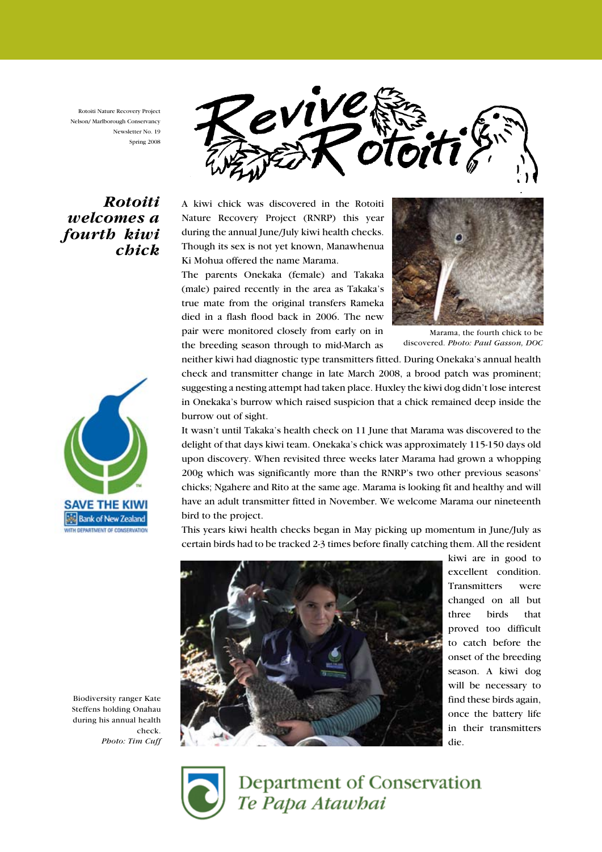Rotoiti Nature Recovery Project Nelson/ Marlborough Conservancy Newsletter No. 19 Spring 2008

evive

# Rotoiti welcomes a fourth kiwi chick



The parents Onekaka (female) and Takaka (male) paired recently in the area as Takaka's true mate from the original transfers Rameka died in a flash flood back in 2006. The new pair were monitored closely from early on in the breeding season through to mid-March as



Marama, the fourth chick to be discovered. Photo: Paul Gasson, DOC

neither kiwi had diagnostic type transmitters fitted. During Onekaka's annual health check and transmitter change in late March 2008, a brood patch was prominent; suggesting a nesting attempt had taken place. Huxley the kiwi dog didn't lose interest in Onekaka's burrow which raised suspicion that a chick remained deep inside the burrow out of sight.

It wasn't until Takaka's health check on 11 June that Marama was discovered to the delight of that days kiwi team. Onekaka's chick was approximately 115-150 days old upon discovery. When revisited three weeks later Marama had grown a whopping 200g which was significantly more than the RNRP's two other previous seasons' chicks; Ngahere and Rito at the same age. Marama is looking fit and healthy and will have an adult transmitter fitted in November. We welcome Marama our nineteenth bird to the project.

This years kiwi health checks began in May picking up momentum in June/July as certain birds had to be tracked 2-3 times before finally catching them. All the resident



kiwi are in good to excellent condition. Transmitters were changed on all but three birds that proved too difficult to catch before the onset of the breeding season. A kiwi dog will be necessary to find these birds again, once the battery life in their transmitters die.





Department of Conservation Te Papa Atawbai

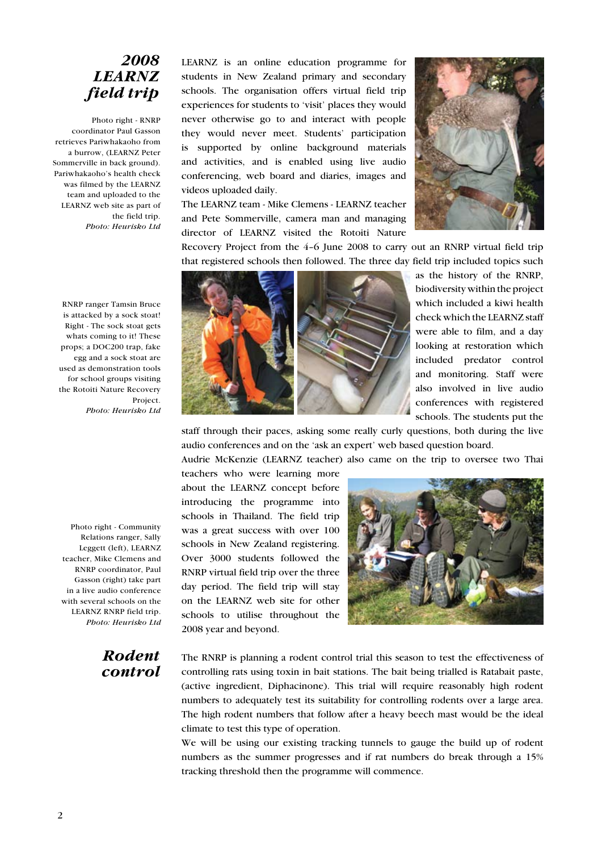# 2008 LEARNZ field trip

Photo right - RNRP coordinator Paul Gasson retrieves Pariwhakaoho from a burrow, (LEARNZ Peter Sommerville in back ground). Pariwhakaoho's health check was filmed by the LEARNZ team and uploaded to the LEARNZ web site as part of the field trip. Photo: Heurisko Ltd

LEARNZ is an online education programme for students in New Zealand primary and secondary schools. The organisation offers virtual field trip experiences for students to 'visit' places they would never otherwise go to and interact with people they would never meet. Students' participation is supported by online background materials and activities, and is enabled using live audio conferencing, web board and diaries, images and videos uploaded daily.

The LEARNZ team - Mike Clemens - LEARNZ teacher and Pete Sommerville, camera man and managing director of LEARNZ visited the Rotoiti Nature



Recovery Project from the 4–6 June 2008 to carry out an RNRP virtual field trip that registered schools then followed. The three day field trip included topics such



as the history of the RNRP, biodiversity within the project which included a kiwi health check which the LEARNZ staff were able to film, and a day looking at restoration which included predator control and monitoring. Staff were also involved in live audio conferences with registered schools. The students put the

staff through their paces, asking some really curly questions, both during the live audio conferences and on the 'ask an expert' web based question board.

Audrie McKenzie (LEARNZ teacher) also came on the trip to oversee two Thai

teachers who were learning more about the LEARNZ concept before introducing the programme into schools in Thailand. The field trip was a great success with over 100 schools in New Zealand registering. Over 3000 students followed the RNRP virtual field trip over the three day period. The field trip will stay on the LEARNZ web site for other schools to utilise throughout the 2008 year and beyond.



LEARNZ RNRP field trip. Photo: Heurisko Ltd Rodent

control

Photo right - Community Relations ranger, Sally Leggett (left), LEARNZ teacher, Mike Clemens and RNRP coordinator, Paul Gasson (right) take part in a live audio conference with several schools on the

> The RNRP is planning a rodent control trial this season to test the effectiveness of controlling rats using toxin in bait stations. The bait being trialled is Ratabait paste, (active ingredient, Diphacinone). This trial will require reasonably high rodent numbers to adequately test its suitability for controlling rodents over a large area. The high rodent numbers that follow after a heavy beech mast would be the ideal climate to test this type of operation.

> We will be using our existing tracking tunnels to gauge the build up of rodent numbers as the summer progresses and if rat numbers do break through a 15% tracking threshold then the programme will commence.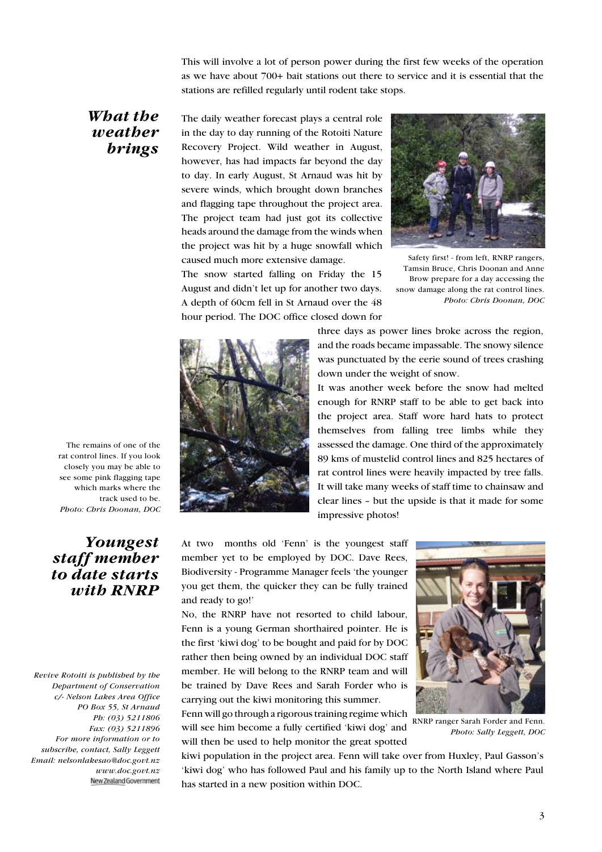This will involve a lot of person power during the first few weeks of the operation as we have about 700+ bait stations out there to service and it is essential that the stations are refilled regularly until rodent take stops.

#### What the weather brings

The daily weather forecast plays a central role in the day to day running of the Rotoiti Nature Recovery Project. Wild weather in August, however, has had impacts far beyond the day to day. In early August, St Arnaud was hit by severe winds, which brought down branches and flagging tape throughout the project area. The project team had just got its collective heads around the damage from the winds when the project was hit by a huge snowfall which caused much more extensive damage.

The snow started falling on Friday the 15 August and didn't let up for another two days. A depth of 60cm fell in St Arnaud over the 48 hour period. The DOC office closed down for



Safety first! - from left, RNRP rangers, Tamsin Bruce, Chris Doonan and Anne Brow prepare for a day accessing the snow damage along the rat control lines. Photo: Chris Doonan, DOC



three days as power lines broke across the region, and the roads became impassable. The snowy silence was punctuated by the eerie sound of trees crashing down under the weight of snow.

It was another week before the snow had melted enough for RNRP staff to be able to get back into the project area. Staff wore hard hats to protect themselves from falling tree limbs while they assessed the damage. One third of the approximately 89 kms of mustelid control lines and 825 hectares of rat control lines were heavily impacted by tree falls. It will take many weeks of staff time to chainsaw and clear lines – but the upside is that it made for some impressive photos!

At two months old 'Fenn' is the youngest staff member yet to be employed by DOC. Dave Rees, Biodiversity - Programme Manager feels 'the younger you get them, the quicker they can be fully trained and ready to go!'

No, the RNRP have not resorted to child labour, Fenn is a young German shorthaired pointer. He is the first 'kiwi dog' to be bought and paid for by DOC rather then being owned by an individual DOC staff member. He will belong to the RNRP team and will be trained by Dave Rees and Sarah Forder who is carrying out the kiwi monitoring this summer.

Fenn will go through a rigorous training regime which will see him become a fully certified 'kiwi dog' and will then be used to help monitor the great spotted



RNRP ranger Sarah Forder and Fenn. Photo: Sally Leggett, DOC

kiwi population in the project area. Fenn will take over from Huxley, Paul Gasson's 'kiwi dog' who has followed Paul and his family up to the North Island where Paul has started in a new position within DOC.

The remains of one of the rat control lines. If you look closely you may be able to see some pink flagging tape which marks where the track used to be. Photo: Chris Doonan, DOC

### Youngest staff member to date starts with RNRP

Revive Rotoiti is published by the Department of Conservation c/- Nelson Lakes Area Office PO Box 55, St Arnaud Ph: (03) 5211806 Fax: (03) 5211896 For more information or to subscribe, contact, Sally Leggett Email: nelsonlakesao@doc.govt.nz www.doc.govt.nz New Zealand Government